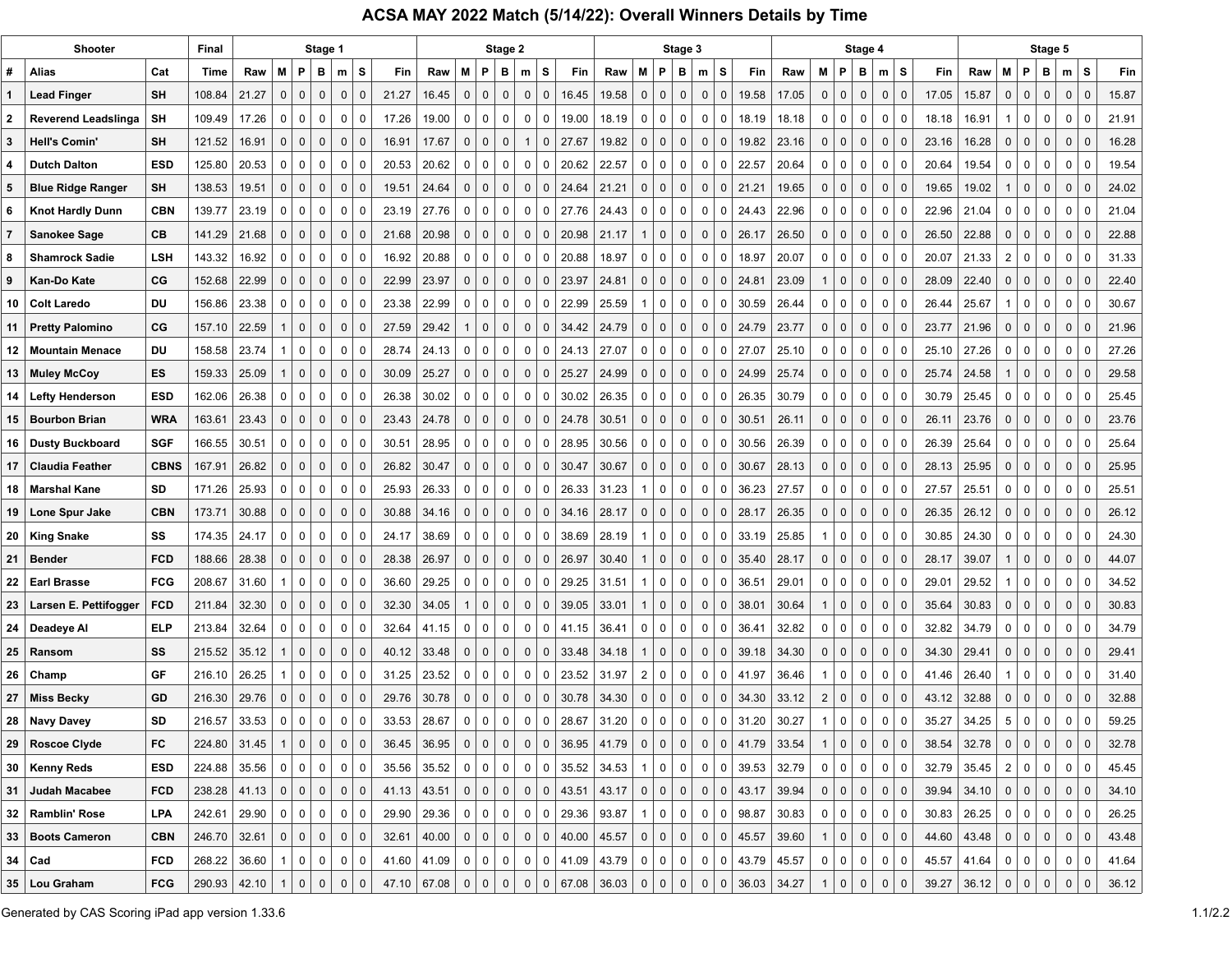## **ACSA MAY 2022 Match (5/14/22): Overall Winners Details by Time**

|              | Shooter                    |             | Final        |       |              |                | Stage 1                    |                   |       |             |                |                | Stage 2        |              |                |                 |                       |                |                | Stage 3      |                             |                       |       |                |                | Stage 4     |                                  |       |               |                |                | Stage 5      |              |              |       |
|--------------|----------------------------|-------------|--------------|-------|--------------|----------------|----------------------------|-------------------|-------|-------------|----------------|----------------|----------------|--------------|----------------|-----------------|-----------------------|----------------|----------------|--------------|-----------------------------|-----------------------|-------|----------------|----------------|-------------|----------------------------------|-------|---------------|----------------|----------------|--------------|--------------|--------------|-------|
| #            | Alias                      | Cat         | Time         | Raw   | м            | P              | в<br>m                     | s                 | Fin   | Raw         | М              | P              | в              | m            | S              | <b>Fin</b>      | Raw                   | M              | P              | в            | s<br>m                      | Fin                   | Raw   | М              | P              | в           | s<br>m                           | Fin   | Raw           | М              | P              | в            | m            | s            | Fin   |
| 1            | <b>Lead Finger</b>         | SΗ          | 108.84       | 21.27 | 0            | $\mathbf 0$    | $\pmb{0}$<br>$\mathbf 0$   | $\mathbf 0$       | 21.27 | 16.45       | 0              | $\mathbf 0$    | 0              | 0            | $\mathbf 0$    | 16.45           | 19.58                 | 0              | $\mathbf 0$    | $\mathbf 0$  | $\pmb{0}$<br>$\mathbf{0}$   | 19.58                 | 17.05 | $\mathbf 0$    | $\mathbf 0$    | 0           | $\mathbf 0$<br>$\mathbf 0$       | 17.05 | 15.87         | $\mathsf{O}$   | $\mathbf{0}$   | 0            | $\mathbf 0$  | 0            | 15.87 |
| $\mathbf{2}$ | <b>Reverend Leadslinga</b> | <b>SH</b>   | 109.49       | 17.26 | 0            | 0              | 0<br>0                     | 0                 | 17.26 | 19.00       | 0              | 0              | 0              | 0            | 0              | 19.00           | 18.19                 | 0              | 0              | 0            | 0<br>0                      | 18.19                 | 18.18 | 0              | 0              | 0           | 0<br>0                           | 18.18 | 16.91         | $\mathbf{1}$   | 0              | $\mathbf 0$  | 0            | $\mathbf 0$  | 21.91 |
| 3            | <b>Hell's Comin'</b>       | SΗ          | 121.52       | 16.91 | 0            | $\mathbf 0$    | $\mathbf 0$<br>$\mathbf 0$ | $\mathbf 0$       | 16.91 | 17.67       | 0              | $\mathbf 0$    | 0              | $\mathbf{1}$ | 0              | 27.67           | 19.82                 | $\mathbf 0$    | $\mathbf 0$    | $\mathbf 0$  | $\mathbf 0$<br>$\mathbf{0}$ | 19.82                 | 23.16 | 0              | $\mathbf 0$    | $\mathbf 0$ | $\mathbf 0$<br>$\mathbf 0$       | 23.16 | 16.28         | $\mathsf{O}$   | $\mathbf 0$    | $\mathbf 0$  | $\mathbf 0$  | $\mathbf 0$  | 16.28 |
| 4            | <b>Dutch Dalton</b>        | <b>ESD</b>  | 125.80       | 20.53 | 0            | 0              | 0<br>0                     | 0                 | 20.53 | 20.62       | 0              | 0              | 0              | 0            | 0              | 20.62           | 22.57                 | 0              | 0              | $\mathbf 0$  | 0<br>0                      | 22.57                 | 20.64 | 0              | 0              | 0           | 0<br>0                           | 20.64 | 19.54         | 0              | $\mathbf 0$    | 0            | 0            | $\mathbf 0$  | 19.54 |
| 5            | <b>Blue Ridge Ranger</b>   | SΗ          | 138.53       | 19.51 | 0            | $\mathbf 0$    | 0<br>$\mathbf 0$           | $\mathbf 0$       | 19.51 | 24.64       | 0              | $\mathbf 0$    | 0              | 0            | $\mathbf 0$    | 24.64           | 21.21                 | 0              | 0              | $\mathbf 0$  | $\Omega$<br>0               | 21.21                 | 19.65 | 0              | $\overline{0}$ | 0           | $\mathbf 0$<br>$\mathbf 0$       | 19.65 | 19.02         | 1              | $\mathsf{O}$   | 0            | 0            | $\mathbf 0$  | 24.02 |
| 6            | <b>Knot Hardly Dunn</b>    | <b>CBN</b>  | 139.77       | 23.19 | 0            | $\mathbf 0$    | 0<br>0                     | 0                 | 23.19 | 27.76       | 0              | $\mathbf 0$    | 0              | 0            | 0              | 27.76           | 24.43                 | 0              | 0              | 0            | 0<br>0                      | 24.43                 | 22.96 | 0              | 0              | 0           | 0<br>0                           | 22.96 | 21.04         | 0              | 0              | 0            | 0            | $\mathbf 0$  | 21.04 |
| 7            | Sanokee Sage               | CВ          | 141.29       | 21.68 | $\Omega$     | $\mathbf 0$    | $\mathsf{O}$<br>0          | $\mathbf 0$       | 21.68 | 20.98       | $\Omega$       | $\mathbf 0$    | $\mathbf 0$    | 0            | $\mathbf 0$    | 20.98           | 21.17                 | $\mathbf 1$    | $\mathbf 0$    | $\mathbf 0$  | $\Omega$<br>$\mathbf{0}$    | 26.17                 | 26.50 | 0              | $\mathbf 0$    | $\mathbf 0$ | $\mathbf 0$<br>$\mathbf 0$       | 26.50 | 22.88         | 0              | $\mathbf 0$    | $\Omega$     | $\mathbf 0$  | $\Omega$     | 22.88 |
| 8            | <b>Shamrock Sadie</b>      | <b>LSH</b>  | 143.32       | 16.92 | 0            | 0              | 0<br>0                     | 0                 | 16.92 | 20.88       | 0              | $\mathbf 0$    | 0              | 0            | 0              | 20.88           | 18.97                 | 0              | 0              | $\mathbf 0$  | 0<br>0                      | 18.97                 | 20.07 | 0              | 0              | 0           | 0<br>0                           | 20.07 | 21.33         | 2              | 0              | $\Omega$     | 0            | $\mathbf 0$  | 31.33 |
| 9            | Kan-Do Kate                | CG          | 152.68       | 22.99 | $\Omega$     | $\mathbf 0$    | $\mathbf 0$<br>0           | $\mathbf 0$       | 22.99 | 23.97       | 0              | 0              | $\mathbf 0$    | 0            | 0              | 23.97           | 24.81                 | 0              | $\mathbf{0}$   | $\mathbf 0$  | $\Omega$<br>0               | 24.81                 | 23.09 | $\mathbf{1}$   | $\mathbf 0$    | 0           | $\mathbf 0$<br>$\mathbf 0$       | 28.09 | 22.40         | 0              | $\mathbf{0}$   | 0            | 0            | 0            | 22.40 |
| 10           | <b>Colt Laredo</b>         | DU          | 156.86       | 23.38 | 0            | $\mathbf 0$    | 0<br>0                     | 0                 | 23.38 | 22.99       | 0              | $\mathbf 0$    | 0              | 0            | 0              | 22.99           | 25.59                 | -1             | 0              | 0            | 0<br>0                      | 30.59                 | 26.44 | 0              | 0              | 0           | 0<br>0                           | 26.44 | 25.67         | 1              | 0              | $\mathbf 0$  | 0            | $\mathbf 0$  | 30.67 |
| 11           | <b>Pretty Palomino</b>     | CG          | 157.10       | 22.59 | 1            | $\mathbf 0$    | $\mathsf{O}$<br>0          | $\overline{0}$    | 27.59 | 29.42       | 1              | $\mathbf 0$    | $\mathbf{0}$   | 0            | $\Omega$       | 34.42           | 24.79                 | $\mathbf 0$    | $\mathbf{0}$   | $\mathbf 0$  | $\Omega$<br>$\mathbf{0}$    | 24.79                 | 23.77 | 0              | $\mathbf 0$    | $\mathbf 0$ | $\overline{0}$<br>$\mathbf 0$    | 23.77 | 21.96         | $\mathbf{0}$   | $\mathbf 0$    | $\mathbf{0}$ | $\mathbf 0$  | $\Omega$     | 21.96 |
| 12           | <b>Mountain Menace</b>     | DU          | 158.58       | 23.74 |              | 0              | 0<br>0                     | 0                 | 28.74 | 24.13       | 0              | 0              | 0              | 0            | 0              | 24.13           | 27.07                 | 0              | 0              | 0            | 0<br>0                      | 27.07                 | 25.10 | 0              | 0              | 0           | 0<br>0                           | 25.10 | 27.26         | 0              | 0              | 0            | 0            | $\Omega$     | 27.26 |
| 13           | <b>Muley McCoy</b>         | ES          | 159.33       | 25.09 | 1            | $\mathbf 0$    | 0<br>$\mathbf 0$           | $\mathbf 0$       | 30.09 | 25.27       | 0              | $\mathbf{0}$   | $\mathbf 0$    | 0            | $\mathbf 0$    | 25.27           | 24.99                 | 0              | $\mathbf{0}$   | $\mathbf 0$  | $\Omega$<br>0               | 24.99                 | 25.74 | 0              | $\mathbf 0$    | $\mathbf 0$ | $\mathbf 0$<br>$\mathbf 0$       | 25.74 | 24.58         | 1              | $\mathbf 0$    | 0            | 0            | $\mathbf 0$  | 29.58 |
| 14           | <b>Lefty Henderson</b>     | <b>ESD</b>  | 162.06       | 26.38 | 0            | 0              | 0<br>0                     | 0                 | 26.38 | 30.02       | 0              | 0              | 0              | 0            | 0              | 30.02           | 26.35                 | 0              | 0              | $\mathbf 0$  | 0<br>0                      | 26.35                 | 30.79 | 0              | 0              | 0           | 0<br>0                           | 30.79 | 25.45         | 0              | 0              | 0            | 0            | $\mathbf 0$  | 25.45 |
| 15           | <b>Bourbon Brian</b>       | <b>WRA</b>  | 163.61       | 23.43 | $\Omega$     | $\mathbf 0$    | 0<br>0                     | $\mathbf 0$       | 23.43 | 24.78       | 0              | 0              | $\mathbf 0$    | 0            | 0              | 24.78           | 30.51                 | 0              | $\mathbf{0}$   | $\mathbf 0$  | $\Omega$<br>$\Omega$        | 30.51                 | 26.11 | $\mathbf{0}$   | $\mathbf 0$    | $\mathbf 0$ | 0<br>$\mathbf 0$                 | 26.11 | 23.76         | 0              | $\mathbf 0$    | 0            | 0            | $\Omega$     | 23.76 |
| 16           | <b>Dusty Buckboard</b>     | <b>SGF</b>  | 166.55       | 30.51 | 0            | 0              | 0<br>0                     | 0                 | 30.51 | 28.95       | 0              | 0              | 0              | 0            | 0              | 28.95           | 30.56                 | 0              | 0              | 0            | 0<br>0                      | 30.56                 | 26.39 | 0              | 0              | 0           | 0<br>0                           | 26.39 | 25.64         | 0              | 0              | 0            | 0            | $\Omega$     | 25.64 |
| 17           | <b>Claudia Feather</b>     | <b>CBNS</b> | 167.91       | 26.82 | $\Omega$     | $\mathbf 0$    | 0<br>0                     | 0                 | 26.82 | 30.47       | 0              | $\mathbf 0$    | $\mathbf 0$    | 0            | 0              | 30.47           | 30.67                 | 0              | $\mathbf{0}$   | $\mathbf 0$  | $\Omega$<br>$\mathbf{0}$    | 30.67                 | 28.13 | 0              | $\mathbf 0$    | 0           | 0<br>$\mathbf 0$                 | 28.13 | 25.95         | 0              | $\mathbf 0$    | 0            | 0            | $\mathbf 0$  | 25.95 |
| 18           | <b>Marshal Kane</b>        | SD          | 171.26       | 25.93 | 0            | 0              | 0<br>0                     | 0                 | 25.93 | 26.33       | 0              | 0              | 0              | 0            | 0              | 26.33           | 31.23                 | -1             | 0              | 0            | 0<br>0                      | 36.23                 | 27.57 | 0              | 0              | 0           | 0<br>0                           | 27.57 | 25.51         | 0              | 0              | 0            | 0            | $\Omega$     | 25.51 |
| 19           | Lone Spur Jake             | <b>CBN</b>  | 173.71       | 30.88 | $\Omega$     | $\mathbf 0$    | 0<br>0                     | $\Omega$          | 30.88 | 34.16       | 0              | $\mathbf{0}$   | $\mathbf 0$    | 0            | 0              | 34.16           | 28.17                 | 0              | $\mathbf{0}$   | $\mathbf 0$  | $\Omega$<br>$\Omega$        | 28.17                 | 26.35 | 0              | $\mathbf 0$    | 0           | 0<br>$\mathbf 0$                 | 26.35 | 26.12         | 0              | 0              | $\mathbf{0}$ | 0            | $\Omega$     | 26.12 |
| 20           | <b>King Snake</b>          | SS          | 174.35       | 24.17 | 0            | 0              | 0<br>0                     | -0                | 24.17 | 38.69       | 0              | 0              | 0              | 0            | 0              | 38.69           | 28.19                 | -1             | 0              | $\mathbf 0$  | 0<br>0                      | 33.19                 | 25.85 | 1              | 0              | 0           | 0<br>0                           | 30.85 | 24.30         | 0              | 0              | 0            | 0            | $\Omega$     | 24.30 |
| 21           | <b>Bender</b>              | <b>FCD</b>  | 188.66       | 28.38 | 0            | $\mathbf 0$    | 0<br>0                     | 0                 | 28.38 | 26.97       | 0              | $\Omega$       | $\mathbf 0$    | 0            | 0              | 26.97           | 30.40                 | -1             | $\mathbf{0}$   | $\mathbf 0$  | $\mathbf 0$<br>$\Omega$     | 35.40                 | 28.17 | 0              | $\mathbf 0$    | 0           | $\mathbf 0$<br>$\mathbf 0$       | 28.17 | 39.07         | $\mathbf{1}$   | $\mathbf 0$    | 0            | 0            | $\Omega$     | 44.07 |
| 22           | <b>Earl Brasse</b>         | <b>FCG</b>  | 208.67       | 31.60 | 1            | 0              | 0<br>0                     | 0                 | 36.60 | 29.25       | 0              | 0              | 0              | 0            | 0              | 29.25           | 31.51                 | -1             | 0              | 0            | 0<br>0                      | 36.51                 | 29.01 | 0              | 0              | 0           | 0<br>0                           | 29.01 | 29.52         | 1              | $\mathbf 0$    | 0            | 0            | 0            | 34.52 |
| 23           | Larsen E. Pettifogger      | <b>FCD</b>  | 211.84       | 32.30 | 0            | $\mathbf{0}$   | $\mathbf 0$<br>0           | $\Omega$          | 32.30 | 34.05       | $\mathbf 1$    | $\mathbf{0}$   | $\mathbf 0$    | 0            | $\mathbf{C}$   | 39.05           | 33.01                 | -1             | $\mathbf{0}$   | $\Omega$     | $\Omega$                    | 38.01                 | 30.64 | 1              | $\mathbf 0$    | $\mathbf 0$ | $\mathsf{O}$<br>$\mathbf 0$      | 35.64 | 30.83         | 0              | 0              | $\mathbf 0$  | 0            | $\mathbf{C}$ | 30.83 |
| 24           | Deadeye Al                 | <b>ELP</b>  | 213.84       | 32.64 | 0            | 0              | 0<br>0                     | 0                 | 32.64 | 41.15       | 0              | 0              | 0              | 0            | 0              | 41.15           | 36.41                 | 0              | 0              | $\mathbf 0$  | $\Omega$<br>0               | 36.41                 | 32.82 | 0              | 0              | 0           | 0<br>0                           | 32.82 | 34.79         | 0              | 0              | 0            | 0            | $\Omega$     | 34.79 |
| 25           | Ransom                     | SS          | 215.52       | 35.12 | 1            | $\mathbf 0$    | 0<br>0                     | 0                 | 40.12 | 33.48       | 0              | $\Omega$       | 0              | 0            | 0              | 33.48           | 34.18                 | -1             | $\mathbf{0}$   | $\mathbf 0$  | $\mathbf 0$                 | 39.18                 | 34.30 | $\mathbf 0$    | $\mathbf 0$    | $\mathbf 0$ | $\overline{0}$<br>0              | 34.30 | 29.41         | 0              | 0              | $\mathbf 0$  | 0            | O            | 29.41 |
| 26           | Champ                      | GF          | 216.10       | 26.25 | 1            | $\mathbf 0$    | 0<br>0                     | 0                 | 31.25 | 23.52       | 0              | 0              | 0              | 0            | 0              | 23.52           | 31.97                 | $\overline{2}$ | 0              | $\mathbf 0$  | $\mathbf 0$<br>0            | 41.97                 | 36.46 | $\mathbf{1}$   | $\mathbf 0$    | 0           | 0<br>0                           | 41.46 | 26.40         | 1              | 0              | $\mathbf 0$  | 0            | $\Omega$     | 31.40 |
| 27           | <b>Miss Becky</b>          | GD          | 216.30       | 29.76 | 0            | $\mathbf{0}$   | $\mathsf{O}$<br>0          | $\mathbf{0}$      | 29.76 | 30.78       | 0              | $\mathbf 0$    | $\mathbf 0$    | 0            | $\Omega$       | 30.78           | 34.30                 | $\mathbf 0$    | $\mathbf{0}$   | $\Omega$     | $\mathbf 0$<br>$\mathbf{0}$ | 34.30                 | 33.12 | $\overline{2}$ | $\mathbf 0$    | $\mathbf 0$ | $\mathbf 0$<br>$\mathbf 0$       | 43.12 | 32.88         | 0              | $\mathbf{0}$   | $\Omega$     | $\mathbf 0$  | $\Omega$     | 32.88 |
|              | 28   Navy Davey            | SD          | 216.57       | 33.53 | 0            | $\mathbf 0$    | $\mathbf 0$<br>0           | $\Omega$          | 33.53 | 28.67       | $\mathbf 0$    | 0              | $\mathbf 0$    | 0            | 0              | 28.67           | 31.20                 | $\mathbf 0$    | $\mathbf 0$    | $\mathbf 0$  | $\mathbf 0$<br>0            | 31.20                 | 30.27 | $\mathbf{1}$   | 0              | 0           | 0<br>$\mathbf 0$                 | 35.27 | 34.25         | 5              | 0              | $\Omega$     | 0            | $\Omega$     | 59.25 |
| 29           | <b>Roscoe Clyde</b>        | FC          | 224.80       | 31.45 | $\mathbf{1}$ | $\mathbf 0$    | 0<br>$\mathbf 0$           | $\mathbf 0$       | 36.45 | 36.95       | 0              | $\mathbf 0$    | 0              | $\mathsf{O}$ | $\overline{0}$ | 36.95           | 41.79                 | 0              | 0              | $\mathbf 0$  | $\pmb{0}$<br>0              | 41.79                 | 33.54 | $\mathbf{1}$   | 0              | 0           | $\mathbf 0$<br>$\mathbf 0$       | 38.54 | 32.78         | 0              | $\mathbf 0$    | 0            | 0            | 0            | 32.78 |
|              | 30   Kenny Reds            | <b>ESD</b>  | 224.88       | 35.56 | $\mathbf 0$  | 0 <sup>1</sup> | 0                          | $\mathbf 0$<br> 0 | 35.56 | 35.52       | 0 <sup>1</sup> | 0 <sup>1</sup> | 0 <sup>1</sup> |              | 0   0          | 35.52           | 34.53                 | -1             | 0 <sup>1</sup> | $\mathbf 0$  | 0                           | $0$ 39.53 32.79       |       | 0 <sup>1</sup> | 0 <sup>1</sup> | $\mathbf 0$ | 0 <sup>1</sup><br>$\overline{0}$ | 32.79 | 35.45         |                | 2 0            | 0            | 0            | 0            | 45.45 |
| $31 \mid$    | Judah Macabee              | <b>FCD</b>  | 238.28       | 41.13 | $\mathbf{0}$ | 0              | $\mathbf 0$<br> 0          | $\mathbf 0$       | 41.13 | 43.51       | $\mathbf 0$    | 0              | $\mathbf 0$    |              | 0   0          | 43.51           | 43.17                 | $\mathbf 0$    | $\overline{0}$ | $\mathbf 0$  | 0                           | 0   43.17             | 39.94 | 0 <sup>1</sup> | 0              | $\mathbf 0$ | 0 <br>$\mathbf 0$                | 39.94 | 34.10         | 0              | $\overline{0}$ | 0            | 0            | $\mathbf 0$  | 34.10 |
|              | 32   Ramblin' Rose         | <b>LPA</b>  | 242.61       | 29.90 | $\mathbf 0$  | 0              | 0<br>$\mathbf{0}$          | 0                 | 29.90 | 29.36       | 0              | $\overline{0}$ | 0              |              | $0 \mid 0$     | 29.36           | 93.87                 | -1             | 0              | 0            | 0                           | $0$ 98.87             | 30.83 | 0 <sup>1</sup> | 0 <sup>1</sup> | 0           | $\mathbf{0}$<br>0                |       | $30.83$ 26.25 | 0 <sup>1</sup> | $\overline{0}$ | 0            | $\mathbf{0}$ | 0            | 26.25 |
|              | 33   Boots Cameron         | <b>CBN</b>  | 246.70       | 32.61 | $\mathbf 0$  | 0              | $\mathbf 0$<br>$\mathbf 0$ | $\mathbf 0$       | 32.61 | 40.00       | $\mathbf 0$    | 0              | 0              | 0            | $\overline{0}$ | 40.00 $ $ 45.57 |                       | 0              | $\overline{0}$ | $\mathbf 0$  | 0                           | 0   45.57             | 39.60 | $\mathbf{1}$   | 0              | $\mathbf 0$ | $\mathbf 0$<br>$\mathbf 0$       | 44.60 | 43.48         | 0              | $\overline{0}$ | 0            | $\mathbf 0$  | $\mathbf 0$  | 43.48 |
|              | $34$ Cad                   | <b>FCD</b>  | 268.22       | 36.60 | $\mathbf{1}$ | 0 <sup>1</sup> | 0<br> 0                    | 0                 | 41.60 | 41.09       | 0 <sup>1</sup> | 0 <sup>1</sup> | 0              |              |                |                 | 0   0   41.09   43.79 | 0 <sup>1</sup> | 0 <sup>1</sup> | 0            |                             | 0   0   43.79   45.57 |       | $\overline{0}$ | 0              | $\mathbf 0$ | 0 <sup>1</sup><br>$\mathbf 0$    | 45.57 | 41.64         |                | 0   0   0      |              | $\mathbf{0}$ | $\mathbf 0$  | 41.64 |
|              | 35   Lou Graham            | <b>FCG</b>  | 290.93 42.10 |       |              | 0 <sup>1</sup> | 0<br>$\mathbf 0$           | $\mathbf 0$       |       | 47.10 67.08 | $\mathbf{0}$   | 0              | $\mathbf 0$    | $\mathbf{0}$ |                |                 | 0   67.08   36.03     | 0              | 0              | $\mathbf{0}$ | $\pmb{0}$                   | 0   36.03   34.27     |       | $\overline{1}$ | $\mathbf 0$    | $\mathbf 0$ | $\mathbf 0$<br>$\mathbf{0}$      | 39.27 | 36.12         | $\mathbf 0$    | $\overline{0}$ | 0            | 0            | $\mathbf 0$  | 36.12 |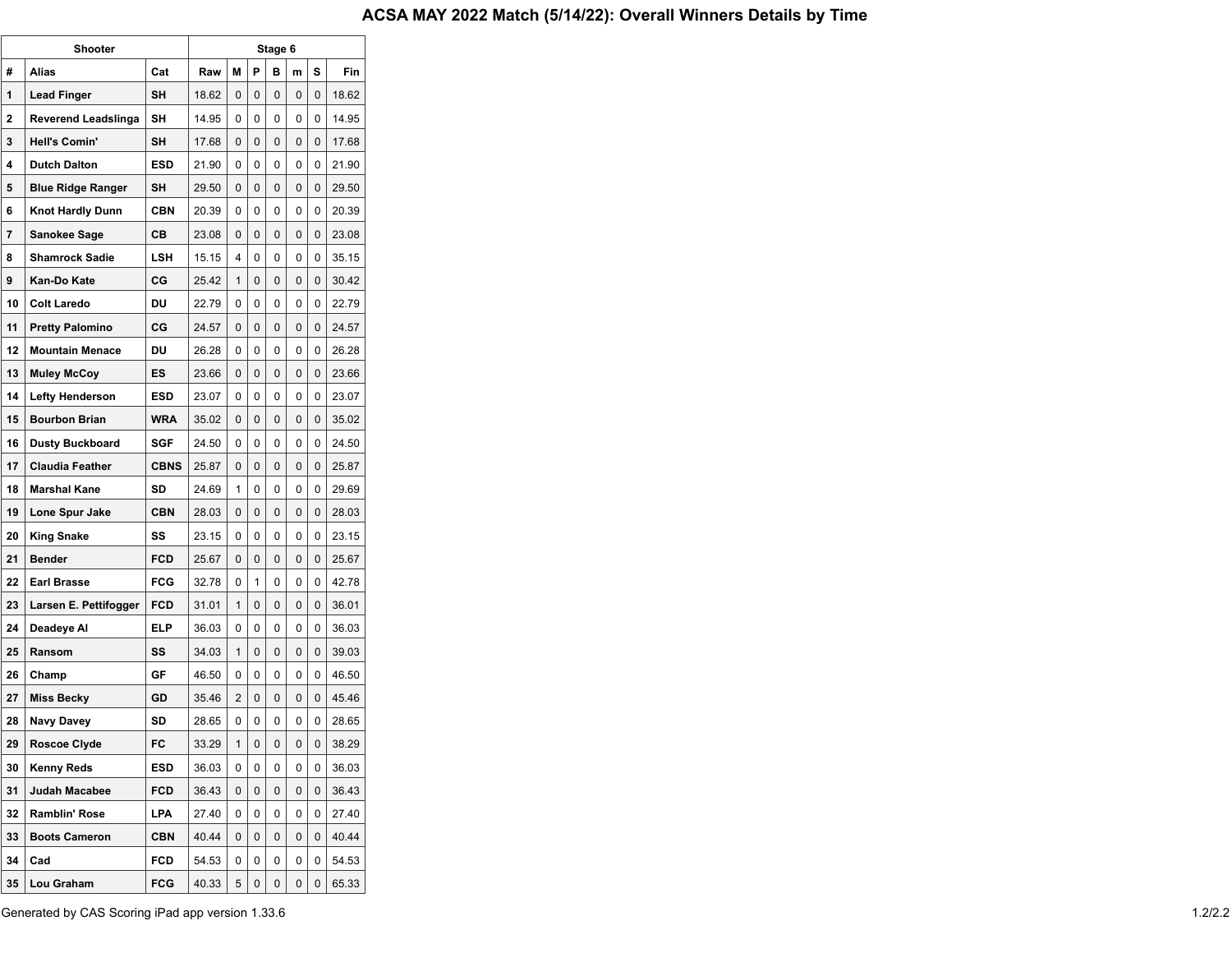|    | Shooter                  | Stage 6     |       |   |   |   |   |   |       |  |  |  |  |  |  |
|----|--------------------------|-------------|-------|---|---|---|---|---|-------|--|--|--|--|--|--|
| #  | Alias                    | Cat         | Raw   | М | P | в | m | s | Fin   |  |  |  |  |  |  |
| 1  | Lead Finger              | SH          | 18.62 | 0 | 0 | 0 | 0 | 0 | 18.62 |  |  |  |  |  |  |
| 2  | Reverend Leadslinga      | SН          | 14.95 | 0 | 0 | 0 | 0 | 0 | 14.95 |  |  |  |  |  |  |
| 3  | <b>Hell's Comin'</b>     | SΗ          | 17.68 | 0 | 0 | 0 | 0 | 0 | 17.68 |  |  |  |  |  |  |
| 4  | <b>Dutch Dalton</b>      | <b>ESD</b>  | 21.90 | 0 | 0 | 0 | 0 | 0 | 21.90 |  |  |  |  |  |  |
| 5  | <b>Blue Ridge Ranger</b> | SΗ          | 29.50 | 0 | 0 | 0 | 0 | 0 | 29.50 |  |  |  |  |  |  |
| 6  | <b>Knot Hardly Dunn</b>  | <b>CBN</b>  | 20.39 | 0 | 0 | 0 | 0 | 0 | 20.39 |  |  |  |  |  |  |
| 7  | Sanokee Sage             | CВ          | 23.08 | 0 | 0 | 0 | 0 | 0 | 23.08 |  |  |  |  |  |  |
| 8  | <b>Shamrock Sadie</b>    | LSH         | 15.15 | 4 | 0 | 0 | 0 | 0 | 35.15 |  |  |  |  |  |  |
| 9  | Kan-Do Kate              | СG          | 25.42 | 1 | 0 | 0 | 0 | 0 | 30.42 |  |  |  |  |  |  |
| 10 | <b>Colt Laredo</b>       | DU          | 22.79 | 0 | 0 | 0 | 0 | 0 | 22.79 |  |  |  |  |  |  |
| 11 | <b>Pretty Palomino</b>   | СG          | 24.57 | 0 | 0 | 0 | 0 | 0 | 24.57 |  |  |  |  |  |  |
| 12 | <b>Mountain Menace</b>   | DU          | 26.28 | 0 | 0 | 0 | 0 | 0 | 26.28 |  |  |  |  |  |  |
| 13 | <b>Muley McCoy</b>       | ES          | 23.66 | 0 | 0 | 0 | 0 | 0 | 23.66 |  |  |  |  |  |  |
| 14 | <b>Lefty Henderson</b>   | ESD         | 23.07 | 0 | 0 | 0 | 0 | 0 | 23.07 |  |  |  |  |  |  |
| 15 | <b>Bourbon Brian</b>     | <b>WRA</b>  | 35.02 | 0 | 0 | 0 | 0 | 0 | 35.02 |  |  |  |  |  |  |
| 16 | <b>Dusty Buckboard</b>   | SGF         | 24.50 | 0 | 0 | 0 | 0 | 0 | 24.50 |  |  |  |  |  |  |
| 17 | <b>Claudia Feather</b>   | <b>CBNS</b> | 25.87 | 0 | 0 | 0 | 0 | 0 | 25.87 |  |  |  |  |  |  |
| 18 | <b>Marshal Kane</b>      | SD          | 24.69 | 1 | 0 | 0 | 0 | 0 | 29.69 |  |  |  |  |  |  |
| 19 | Lone Spur Jake           | <b>CBN</b>  | 28.03 | 0 | 0 | 0 | 0 | 0 | 28.03 |  |  |  |  |  |  |
| 20 | <b>King Snake</b>        | SS          | 23.15 | 0 | 0 | 0 | 0 | 0 | 23.15 |  |  |  |  |  |  |
| 21 | <b>Bender</b>            | FCD         | 25.67 | 0 | 0 | 0 | 0 | 0 | 25.67 |  |  |  |  |  |  |
| 22 | <b>Earl Brasse</b>       | <b>FCG</b>  | 32.78 | 0 | 1 | 0 | 0 | 0 | 42.78 |  |  |  |  |  |  |
| 23 | Larsen E. Pettifogger    | FCD         | 31.01 | 1 | 0 | 0 | 0 | 0 | 36.01 |  |  |  |  |  |  |
| 24 | Deadeye Al               | ELP         | 36.03 | 0 | 0 | 0 | 0 | 0 | 36.03 |  |  |  |  |  |  |
| 25 | Ransom                   | SS          | 34.03 | 1 | 0 | 0 | 0 | 0 | 39.03 |  |  |  |  |  |  |
| 26 | Champ                    | GF          | 46.50 | 0 | 0 | 0 | 0 | 0 | 46.50 |  |  |  |  |  |  |
| 27 | <b>Miss Becky</b>        | GD          | 35.46 | 2 | 0 | 0 | 0 | 0 | 45.46 |  |  |  |  |  |  |
| 28 | <b>Navy Davey</b>        | SD          | 28.65 | 0 | 0 | 0 | 0 | 0 | 28.65 |  |  |  |  |  |  |
| 29 | Roscoe Clyde             | FC          | 33.29 | 1 | 0 | 0 | 0 | 0 | 38.29 |  |  |  |  |  |  |
| 30 | <b>Kenny Reds</b>        | ESD         | 36.03 | 0 | 0 | 0 | 0 | 0 | 36.03 |  |  |  |  |  |  |
| 31 | Judah Macabee            | <b>FCD</b>  | 36.43 | 0 | 0 | 0 | 0 | 0 | 36.43 |  |  |  |  |  |  |
| 32 | Ramblin' Rose            | LPA         | 27.40 | 0 | 0 | 0 | 0 | 0 | 27.40 |  |  |  |  |  |  |
| 33 | <b>Boots Cameron</b>     | <b>CBN</b>  | 40.44 | 0 | 0 | 0 | 0 | 0 | 40.44 |  |  |  |  |  |  |
| 34 | Cad                      | FCD         | 54.53 | 0 | 0 | 0 | 0 | 0 | 54.53 |  |  |  |  |  |  |
| 35 | Lou Graham               | <b>FCG</b>  | 40.33 | 5 | 0 | 0 | 0 | 0 | 65.33 |  |  |  |  |  |  |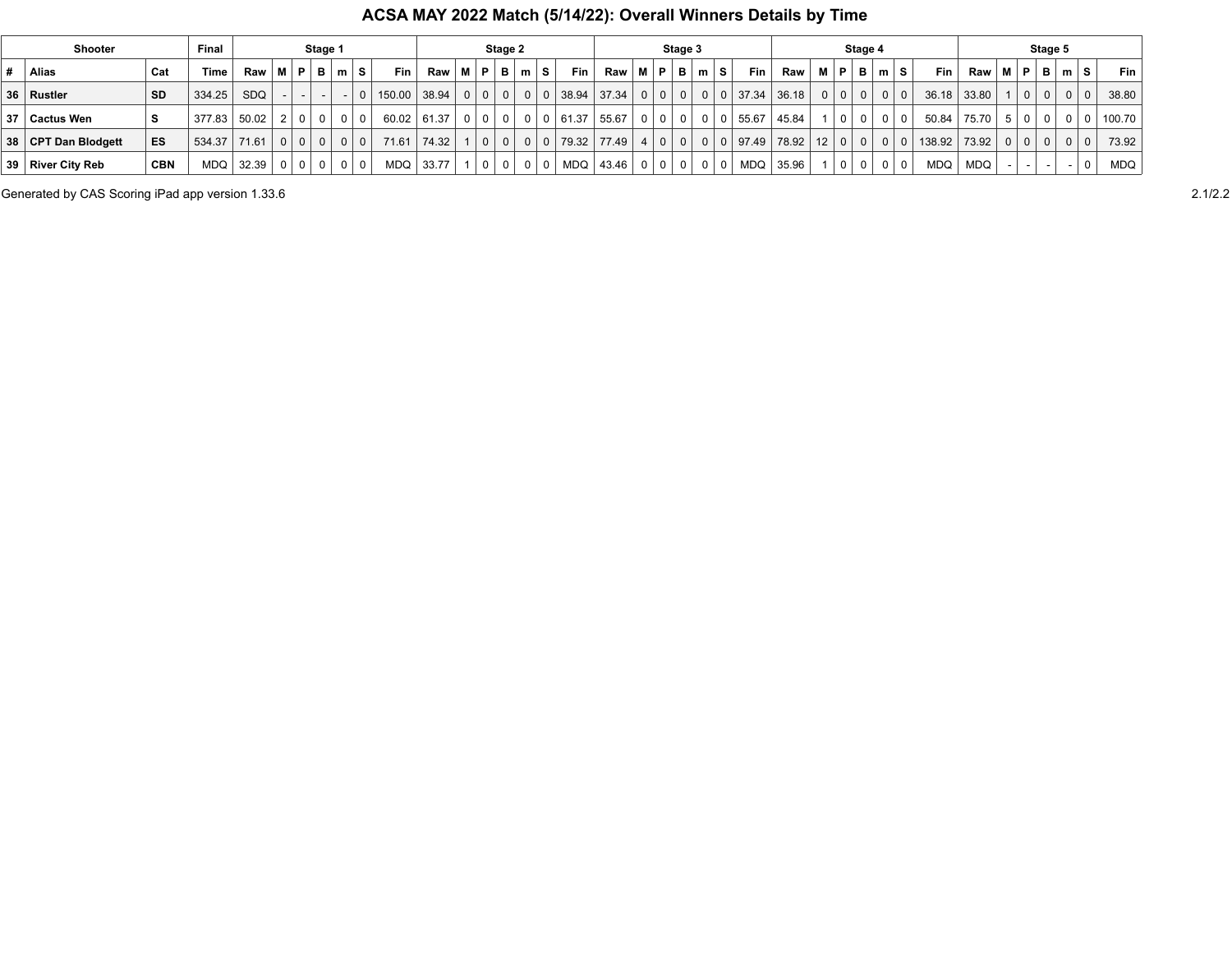## **ACSA MAY 2022 Match (5/14/22): Overall Winners Details by Time**

|    | Shooter             |            | Final        |       |                | Stage 1        |                |              |                         |                | Stage 2     |                |                |                       |             |       |           | Stage 3        |                |       |            |            |          |                | Stage 4                                                                                                                                                                                                                                                                                                                                                                                                                                    |           |            |                          |          |                | Stage 5                                                             |   |                |            |
|----|---------------------|------------|--------------|-------|----------------|----------------|----------------|--------------|-------------------------|----------------|-------------|----------------|----------------|-----------------------|-------------|-------|-----------|----------------|----------------|-------|------------|------------|----------|----------------|--------------------------------------------------------------------------------------------------------------------------------------------------------------------------------------------------------------------------------------------------------------------------------------------------------------------------------------------------------------------------------------------------------------------------------------------|-----------|------------|--------------------------|----------|----------------|---------------------------------------------------------------------|---|----------------|------------|
|    | Alias               | Cat        | Time         | Raw   | M   P          | - B I          | m S            | Fin          | <b>Raw</b>              | M P            |             | - B I          | m S            | Fin L                 | <b>Raw</b>  | M   P |           | B              | m <sub>1</sub> | s.    | <b>Fin</b> | <b>Raw</b> | M I      | P              | <b>B</b>   m   S                                                                                                                                                                                                                                                                                                                                                                                                                           |           | <b>Fin</b> | $Raw \mid M \mid P \mid$ |          |                | - B I                                                               | m | S.             | <b>Fin</b> |
|    | 36 Rustler          | <b>SD</b>  | 334.25       | SDQ   |                |                |                | 150.00 38.94 |                         |                | $0$   $0$   | 0 <sup>1</sup> |                | 0   0   38.94   37.34 |             |       |           | 0 0 0          |                | $0$ 0 | 37.34      | 36.18      | $\Omega$ |                | $\begin{array}{c c c c c c} \hline \multicolumn{3}{c }{\textbf{0} & \multicolumn{3}{c }{\textbf{0} & \multicolumn{3}{c }{\textbf{0} & \multicolumn{3}{c }{\textbf{0} & \multicolumn{3}{c }{\textbf{0} & \multicolumn{3}{c }{\textbf{0} & \multicolumn{3}{c }{\textbf{0} & \multicolumn{3}{c }{\textbf{0} & \multicolumn{3}{c }{\textbf{0} & \multicolumn{3}{c }{\textbf{0} & \multicolumn{3}{c }{\textbf{0} & \multicolumn{3}{c }{\textbf$ | $0$   $0$ | 36.18      | 33.80                    |          | 0 <sup>1</sup> | 0 <sup>1</sup>                                                      |   | 0 <sup>1</sup> | 38.80      |
| 37 | ∣ Cactus Wen        |            | 377.83 50.02 |       | $\Omega$       | 0 <sup>1</sup> | 0 <sup>0</sup> |              | $60.02 \mid 61.37 \mid$ | 0 <sup>1</sup> | $\Omega$    | 0 <sup>1</sup> | 0 0            | 61.37 55.67           |             |       | 0   0     | $\overline{0}$ | $0$   0        |       | 55.67      | 45.84      |          | 0 <sup>1</sup> | $\Omega$                                                                                                                                                                                                                                                                                                                                                                                                                                   | - 0       | 50.84      | 75.70                    |          |                |                                                                     |   | $\Omega$       | 100.70     |
|    | 38 CPT Dan Blodgett | ES         | 534.37       | 71.61 | 0 <sup>1</sup> | 0 <sup>1</sup> | 0 <sup>0</sup> | 71.61        | 74.32                   |                | $\mathbf 0$ | 0 <sup>1</sup> | $0 \mid 0$     | 79.32 77.49           |             |       | 4   0   0 |                | 000            |       | 97.49      | 78.92 12   |          |                | $\begin{array}{c c c c c c} \hline \multicolumn{3}{c }{\textbf{0} & \multicolumn{3}{c }{\textbf{0} & \multicolumn{3}{c }{\textbf{0} & \multicolumn{3}{c }{\textbf{0} & \multicolumn{3}{c }{\textbf{0} & \multicolumn{3}{c }{\textbf{0} & \multicolumn{3}{c }{\textbf{0} & \multicolumn{3}{c }{\textbf{0} & \multicolumn{3}{c }{\textbf{0} & \multicolumn{3}{c }{\textbf{0} & \multicolumn{3}{c }{\textbf{0} & \multicolumn{3}{c }{\textbf$ | $0$ 0     | 138.92     | 73.92                    | $\Omega$ |                | $\begin{array}{c c c c c} \hline \circ & \circ & \circ \end{array}$ |   | $\overline{0}$ | 73.92      |
|    | 39 River City Reb   | <b>CBN</b> | MDQ          | 32.39 | 0 <sup>1</sup> | 0 <sup>1</sup> | $01$ 0         | MDQ          | 33.77                   |                | $\Omega$    | 0 <sup>1</sup> | 0 <sup>0</sup> |                       | MDQ   43.46 |       | 0 0 0     |                | 0 <sup>0</sup> |       | <b>MDQ</b> | 35.96      |          | 0 <sup>1</sup> | 0 <sup>1</sup>                                                                                                                                                                                                                                                                                                                                                                                                                             | $01$ 0    | <b>MDQ</b> | MDQ                      |          |                | -                                                                   |   |                | <b>MDQ</b> |

Generated by CAS Scoring iPad app version 1.33.6 2.1/2.2